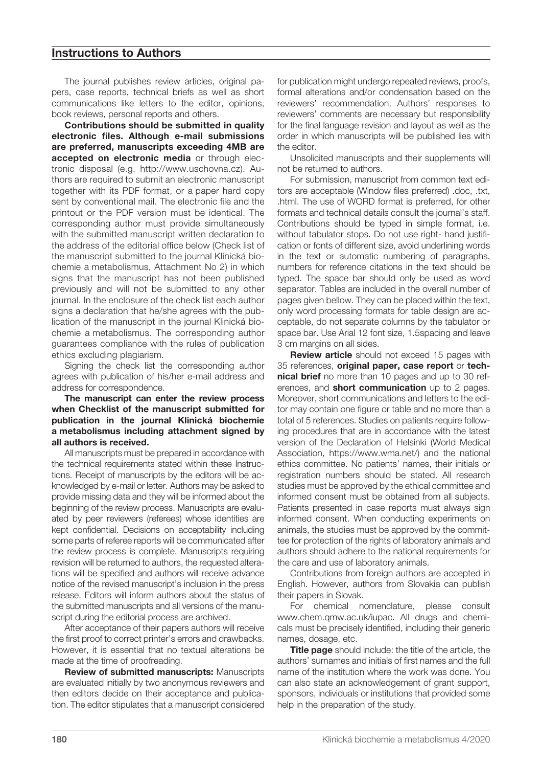### **Instructions to Authors**

The journal publishes review articles, original papers, case reports, technical briefs as well as short communications like letters to the editor, opinions, book reviews, personal reports and others.

**Contributions should be submitted in quality electronic files. Although e-mail submissions are preferred, manuscripts exceeding 4MB are accepted on electronic media** or through electronic disposal (e.g. http://www.uschovna.cz). Authors are required to submit an electronic manuscript together with its PDF format, or a paper hard copy sent by conventional mail. The electronic file and the printout or the PDF version must be identical. The corresponding author must provide simultaneously with the submitted manuscript written declaration to the address of the editorial office below (Check list of the manuscript submitted to the journal Klinická biochemie a metabolismus, Attachment No 2) in which signs that the manuscript has not been published previously and will not be submitted to any other journal. In the enclosure of the check list each author signs a declaration that he/she agrees with the publication of the manuscript in the journal Klinická biochemie a metabolismus. The corresponding author guarantees compliance with the rules of publication ethics excluding plagiarism.

Signing the check list the corresponding author agrees with publication of his/her e-mail address and address for correspondence.

#### **The manuscript can enter the review process when Checklist of the manuscript submitted for publication in the journal Klinická biochemie a metabolismus including attachment signed by all authors is received.**

All manuscripts must be prepared in accordance with the technical requirements stated within these Instructions. Receipt of manuscripts by the editors will be acknowledged by e-mail or letter. Authors may be asked to provide missing data and they will be informed about the beginning of the review process. Manuscripts are evaluated by peer reviewers (referees) whose identities are kept confidential. Decisions on acceptability including some parts of referee reports will be communicated after the review process is complete. Manuscripts requiring revision will be returned to authors, the requested alterations will be specified and authors will receive advance notice of the revised manuscript's inclusion in the press release. Editors will inform authors about the status of the submitted manuscripts and all versions of the manuscript during the editorial process are archived.

After acceptance of their papers authors will receive the first proof to correct printer's errors and drawbacks. However, it is essential that no textual alterations be made at the time of proofreading.

**Review of submitted manuscripts:** Manuscripts are evaluated initially by two anonymous reviewers and then editors decide on their acceptance and publication. The editor stipulates that a manuscript considered for publication might undergo repeated reviews, proofs, formal alterations and/or condensation based on the reviewers' recommendation. Authors' responses to reviewers' comments are necessary but responsibility for the final language revision and layout as well as the order in which manuscripts will be published lies with the editor.

Unsolicited manuscripts and their supplements will not be returned to authors.

For submission, manuscript from common text editors are acceptable (Window files preferred) .doc, .txt, .html. The use of WORD format is preferred, for other formats and technical details consult the journal's staff. Contributions should be typed in simple format, i.e. without tabulator stops. Do not use right- hand justification or fonts of different size, avoid underlining words in the text or automatic numbering of paragraphs, numbers for reference citations in the text should be typed. The space bar should only be used as word separator. Tables are included in the overall number of pages given bellow. They can be placed within the text, only word processing formats for table design are acceptable, do not separate columns by the tabulator or space bar. Use Arial 12 font size, 1.5spacing and leave 3 cm margins on all sides.

**Review article** should not exceed 15 pages with 35 references, **original paper, case report** or **technical brief** no more than 10 pages and up to 30 references, and **short communication** up to 2 pages. Moreover, short communications and letters to the editor may contain one figure or table and no more than a total of 5 references. Studies on patients require following procedures that are in accordance with the latest version of the Declaration of Helsinki (World Medical Association, https://www.wma.net/) and the national ethics committee. No patients' names, their initials or registration numbers should be stated. All research studies must be approved by the ethical committee and informed consent must be obtained from all subjects. Patients presented in case reports must always sign informed consent. When conducting experiments on animals, the studies must be approved by the committee for protection of the rights of laboratory animals and authors should adhere to the national requirements for the care and use of laboratory animals.

Contributions from foreign authors are accepted in English. However, authors from Slovakia can publish their papers in Slovak.

For chemical nomenclature, please consult www.chem.qmw.ac.uk/iupac. All drugs and chemicals must be precisely identified, including their generic names, dosage, etc.

**Title page** should include: the title of the article, the authors' surnames and initials of first names and the full name of the institution where the work was done. You can also state an acknowledgement of grant support, sponsors, individuals or institutions that provided some help in the preparation of the study.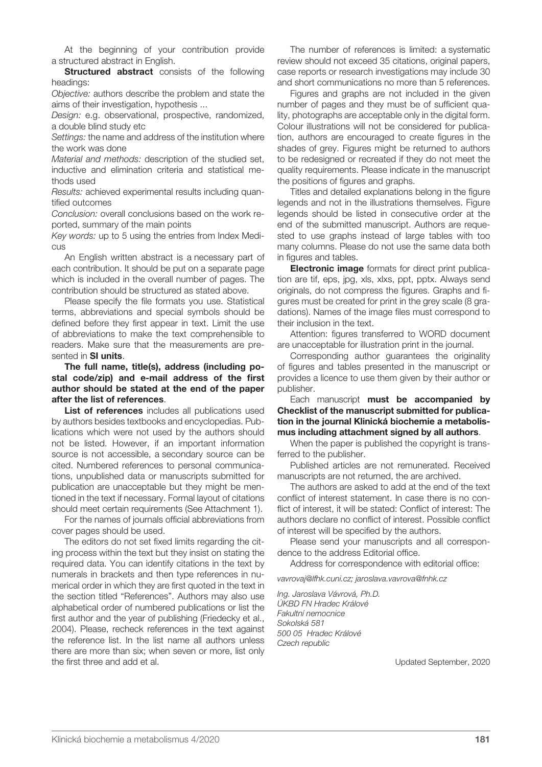At the beginning of your contribution provide a structured abstract in English.

**Structured abstract** consists of the following headings:

*Objective:* authors describe the problem and state the aims of their investigation, hypothesis ...

*Design:* e.g. observational, prospective, randomized, a double blind study etc

*Settings:* the name and address of the institution where the work was done

*Material and methods:* description of the studied set, inductive and elimination criteria and statistical methods used

*Results:* achieved experimental results including quantified outcomes

*Conclusion:* overall conclusions based on the work reported, summary of the main points

*Key words:* up to 5 using the entries from Index Medicus

An English written abstract is a necessary part of each contribution. It should be put on a separate page which is included in the overall number of pages. The contribution should be structured as stated above.

Please specify the file formats you use. Statistical terms, abbreviations and special symbols should be defined before they first appear in text. Limit the use of abbreviations to make the text comprehensible to readers. Make sure that the measurements are presented in **SI units**.

**The full name, title(s), address (including postal code/zip) and e-mail address of the first author should be stated at the end of the paper after the list of references**.

List of references includes all publications used by authors besides textbooks and encyclopedias. Publications which were not used by the authors should not be listed. However, if an important information source is not accessible, a secondary source can be cited. Numbered references to personal communications, unpublished data or manuscripts submitted for publication are unacceptable but they might be mentioned in the text if necessary. Formal layout of citations should meet certain requirements (See Attachment 1).

For the names of journals official abbreviations from cover pages should be used.

The editors do not set fixed limits regarding the citing process within the text but they insist on stating the required data. You can identify citations in the text by numerals in brackets and then type references in numerical order in which they are first quoted in the text in the section titled "References". Authors may also use alphabetical order of numbered publications or list the first author and the year of publishing (Friedecky et al., 2004). Please, recheck references in the text against the reference list. In the list name all authors unless there are more than six; when seven or more, list only the first three and add et al.

The number of references is limited: a systematic review should not exceed 35 citations, original papers, case reports or research investigations may include 30 and short communications no more than 5 references.

Figures and graphs are not included in the given number of pages and they must be of sufficient quality, photographs are acceptable only in the digital form. Colour illustrations will not be considered for publication, authors are encouraged to create figures in the shades of grey. Figures might be returned to authors to be redesigned or recreated if they do not meet the quality requirements. Please indicate in the manuscript the positions of figures and graphs.

Titles and detailed explanations belong in the figure legends and not in the illustrations themselves. Figure legends should be listed in consecutive order at the end of the submitted manuscript. Authors are requested to use graphs instead of large tables with too many columns. Please do not use the same data both in figures and tables.

**Electronic image** formats for direct print publication are tif, eps, jpg, xls, xlxs, ppt, pptx. Always send originals, do not compress the figures. Graphs and figures must be created for print in the grey scale (8 gradations). Names of the image files must correspond to their inclusion in the text.

Attention: figures transferred to WORD document are unacceptable for illustration print in the journal.

Corresponding author guarantees the originality of figures and tables presented in the manuscript or provides a licence to use them given by their author or publisher.

Each manuscript **must be accompanied by Checklist of the manuscript submitted for publication in the journal Klinická biochemie a metabolismus including attachment signed by all authors**.

When the paper is published the copyright is transferred to the publisher.

Published articles are not remunerated. Received manuscripts are not returned, the are archived.

The authors are asked to add at the end of the text conflict of interest statement. In case there is no conflict of interest, it will be stated: Conflict of interest: The authors declare no conflict of interest. Possible conflict of interest will be specified by the authors.

Please send your manuscripts and all correspondence to the address Editorial office.

Address for correspondence with editorial office:

*vavrovaj@lfhk.cuni.cz; jaroslava.vavrova@fnhk.cz*

*Ing. Jaroslava Vávrová, Ph.D. ÚKBD FN Hradec Králové Fakultní nemocnice Sokolská 581 500 05 Hradec Králové Czech republic*

Updated September, 2020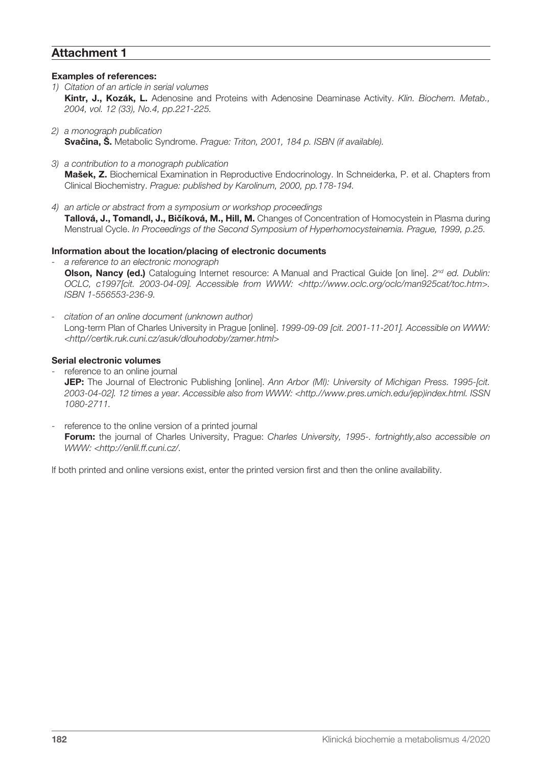## **Attachment 1**

### **Examples of references:**

- *1) Citation of an article in serial volumes* **Kintr, J., Kozák, L.** Adenosine and Proteins with Adenosine Deaminase Activity. *Klin. Biochem. Metab., 2004, vol. 12 (33), No.4, pp.221-225.*
- *2) a monograph publication* **Svačina, Š.** Metabolic Syndrome. *Prague: Triton, 2001, 184 p. ISBN (if available).*
- *3) a contribution to a monograph publication* **Mašek, Z.** Biochemical Examination in Reproductive Endocrinology. In Schneiderka, P. et al. Chapters from Clinical Biochemistry. *Prague: published by Karolinum, 2000, pp.178-194.*
- *4) an article or abstract from a symposium or workshop proceedings* **Tallová, J., Tomandl, J., Bičíková, M., Hill, M.** Changes of Concentration of Homocystein in Plasma during Menstrual Cycle. *In Proceedings of the Second Symposium of Hyperhomocysteinemia. Prague, 1999, p.25.*

### **Information about the location/placing of electronic documents**

- *- a reference to an electronic monograph* **Olson, Nancy (ed.)** Cataloguing Internet resource: A Manual and Practical Guide [on line]. *2nd ed. Dublin: OCLC, c1997[cit. 2003-04-09]. Accessible from WWW: <http://www.oclc.org/oclc/man925cat/toc.htm>. ISBN 1-556553-236-9.*
- *- citation of an online document (unknown author)* Long-term Plan of Charles University in Prague [online]. *1999-09-09 [cit. 2001-11-201]. Accessible on WWW: <http//certik.ruk.cuni.cz/asuk/dlouhodoby/zamer.html>*

### **Serial electronic volumes**

- reference to an online journal **JEP:** The Journal of Electronic Publishing [online]. *Ann Arbor (MI): University of Michigan Press. 1995-[cit. 2003-04-02]. 12 times a year. Accessible also from WWW: <http.//www.pres.umich.edu/jep)index.html. ISSN 1080-2711.*
- reference to the online version of a printed journal **Forum:** the journal of Charles University, Prague: *Charles University, 1995-. fortnightly,also accessible on WWW: <http://enlil.ff.cuni.cz/.*

If both printed and online versions exist, enter the printed version first and then the online availability.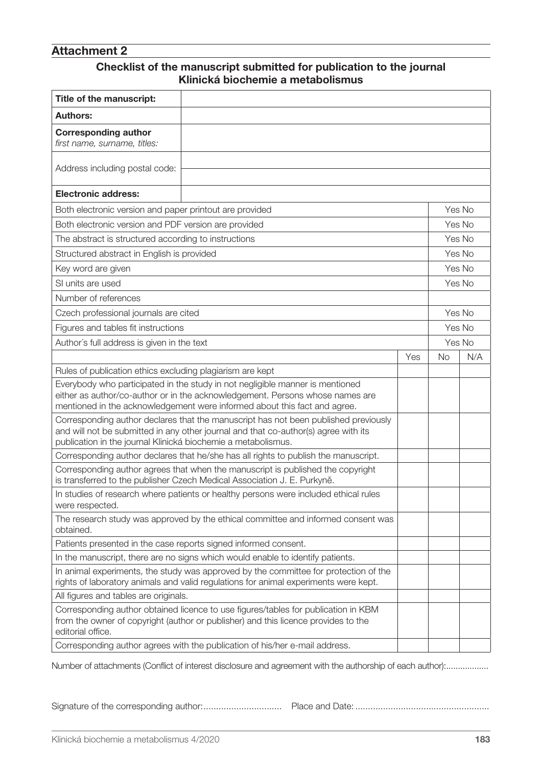# **Attachment 2**

## **Checklist of the manuscript submitted for publication to the journal Klinická biochemie a metabolismus**

| Title of the manuscript:                                                                                                                                                                                                                    |  |  |  |        |  |
|---------------------------------------------------------------------------------------------------------------------------------------------------------------------------------------------------------------------------------------------|--|--|--|--------|--|
| <b>Authors:</b>                                                                                                                                                                                                                             |  |  |  |        |  |
| <b>Corresponding author</b><br>first name, surname, titles:                                                                                                                                                                                 |  |  |  |        |  |
| Address including postal code:                                                                                                                                                                                                              |  |  |  |        |  |
| <b>Electronic address:</b>                                                                                                                                                                                                                  |  |  |  |        |  |
| Both electronic version and paper printout are provided                                                                                                                                                                                     |  |  |  |        |  |
| Both electronic version and PDF version are provided                                                                                                                                                                                        |  |  |  |        |  |
| The abstract is structured according to instructions                                                                                                                                                                                        |  |  |  |        |  |
| Structured abstract in English is provided                                                                                                                                                                                                  |  |  |  |        |  |
| Key word are given                                                                                                                                                                                                                          |  |  |  |        |  |
| SI units are used                                                                                                                                                                                                                           |  |  |  |        |  |
| Number of references                                                                                                                                                                                                                        |  |  |  |        |  |
| Czech professional journals are cited                                                                                                                                                                                                       |  |  |  | Yes No |  |
| Figures and tables fit instructions                                                                                                                                                                                                         |  |  |  | Yes No |  |
| Author's full address is given in the text                                                                                                                                                                                                  |  |  |  | Yes No |  |
| Yes                                                                                                                                                                                                                                         |  |  |  | N/A    |  |
| Rules of publication ethics excluding plagiarism are kept                                                                                                                                                                                   |  |  |  |        |  |
| Everybody who participated in the study in not negligible manner is mentioned<br>either as author/co-author or in the acknowledgement. Persons whose names are<br>mentioned in the acknowledgement were informed about this fact and agree. |  |  |  |        |  |
| Corresponding author declares that the manuscript has not been published previously<br>and will not be submitted in any other journal and that co-author(s) agree with its<br>publication in the journal Klinická biochemie a metabolismus. |  |  |  |        |  |
| Corresponding author declares that he/she has all rights to publish the manuscript.                                                                                                                                                         |  |  |  |        |  |
| Corresponding author agrees that when the manuscript is published the copyright<br>is transferred to the publisher Czech Medical Association J. E. Purkyně.                                                                                 |  |  |  |        |  |
| In studies of research where patients or healthy persons were included ethical rules<br>were respected.                                                                                                                                     |  |  |  |        |  |
| The research study was approved by the ethical committee and informed consent was<br>obtained.                                                                                                                                              |  |  |  |        |  |
| Patients presented in the case reports signed informed consent.                                                                                                                                                                             |  |  |  |        |  |
| In the manuscript, there are no signs which would enable to identify patients.                                                                                                                                                              |  |  |  |        |  |
| In animal experiments, the study was approved by the committee for protection of the<br>rights of laboratory animals and valid regulations for animal experiments were kept.                                                                |  |  |  |        |  |
| All figures and tables are originals.                                                                                                                                                                                                       |  |  |  |        |  |
| Corresponding author obtained licence to use figures/tables for publication in KBM<br>from the owner of copyright (author or publisher) and this licence provides to the<br>editorial office.                                               |  |  |  |        |  |
| Corresponding author agrees with the publication of his/her e-mail address.                                                                                                                                                                 |  |  |  |        |  |

Number of attachments (Conflict of interest disclosure and agreement with the authorship of each author):..................

Signature of the corresponding author:............................... Place and Date: .....................................................